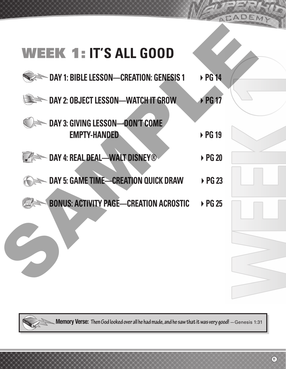| <b>WEEK 1: IT'S ALL GOOD</b>                           |         |  |
|--------------------------------------------------------|---------|--|
| DAY 1: BIBLE LESSON-CREATION: GENESIS 1                | ▶ PG 14 |  |
| - DAY 2: OBJECT LESSON-WATCH IT GROW                   | ▶ PG 17 |  |
| DAY 3: GIVING LESSON-OON'T COME<br><b>EMPTY-HANDED</b> | ▶ PG 19 |  |
| <b>DAY 4: REAL DEAL-WALT DISNEY®</b>                   | ▶ PG 20 |  |
| <b>DAY 5: GAME TIME-CREATION QUICK DRAW</b>            | ▶ PG 23 |  |
| <b>BONUS: ACTIVITY PAGE-CREATION ACROSTIC</b>          | ▶ PG 25 |  |
|                                                        |         |  |
|                                                        |         |  |
|                                                        |         |  |



Memory Verse: **Then God looked over all he had made, and he saw that it was very good!** —Genesis 1:31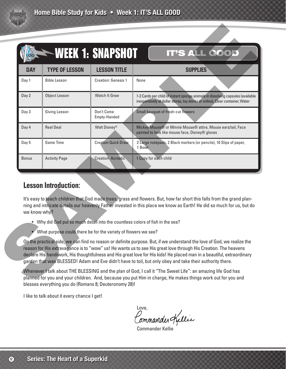

|              |                                                                  | <b>WEEK 1: SNAPSHOT</b>    | <b>IT'S ALL GOOD</b>                                                                                                                                                                                                                                                                                                              |
|--------------|------------------------------------------------------------------|----------------------------|-----------------------------------------------------------------------------------------------------------------------------------------------------------------------------------------------------------------------------------------------------------------------------------------------------------------------------------|
| <b>DAY</b>   | <b>TYPE OF LESSON</b>                                            | <b>LESSON TITLE</b>        | <b>SUPPLIES</b>                                                                                                                                                                                                                                                                                                                   |
| Day 1        | <b>Bible Lesson</b>                                              | <b>Creation: Genesis 1</b> | None                                                                                                                                                                                                                                                                                                                              |
| Day 2        | <b>Object Lesson</b>                                             | <b>Watch It Grow</b>       | 1-2 Cards per child of instant sponge animals in dissolving capsules (available<br>inexpensively at dollar stores, toy stores or online), Clear container, Water                                                                                                                                                                  |
| Day 3        | Giving Lesson                                                    | Don't Come<br>Empty-Handed | Small bouquet of fresh-cut flowers                                                                                                                                                                                                                                                                                                |
| Day 4        | <b>Real Deal</b>                                                 | Walt Disney®               | Mickey Mouse® or Minnie Mouse® attire, Mouse ears/tail, Face<br>painted to look like mouse face, Disney® gloves                                                                                                                                                                                                                   |
| Day 5        | <b>Game Time</b>                                                 | <b>Creation Quick Draw</b> | 2 Large notepads, 2 Black markers (or pencils), 10 Slips of paper,<br>1 Bowl                                                                                                                                                                                                                                                      |
|              |                                                                  |                            |                                                                                                                                                                                                                                                                                                                                   |
| <b>Bonus</b> | <b>Activity Page</b>                                             | <b>Creation Acrostic</b>   | 1 Copy for each child                                                                                                                                                                                                                                                                                                             |
| we know why? | <b>Lesson Introduction:</b>                                      |                            | It's easy to teach children that God made trees, grass and flowers. But, how far short this falls from the grand plan-<br>ning and intricate details our heavenly Father invested in this place we know as Earth! He did so much for us, but do<br>. Why did God put so much detail into the countless colors of fish in the sea? |
|              | • What purpose could there be for the variety of flowers we see? |                            |                                                                                                                                                                                                                                                                                                                                   |

#### **Lesson Introduction:**

- Why did God put so much detail into the countless colors of fish in the sea?
- What purpose could there be for the variety of flowers we see?

Whenever I talk about THE BLESSING and the plan of God, I call it "The Sweet Life": an amazing life God has planned for you and your children. And, because you put Him in charge, He makes things work out for you and blesses everything you do (Romans 8; Deuteronomy 28)!

I like to talk about it every chance I get!

Love,<br>Commander fellie

Commander Kellie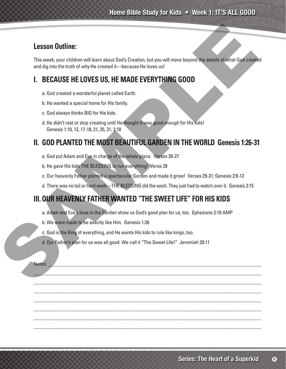#### **Lesson Outline:**

This week, your children will learn about God's Creation, but you will move beyond the details of what God created and dig into the truth of *why* He created it—because He loves us! Lesson Outline:<br>
This wook, your children will learn shout God's Creation, but you will move beyond the details of what God creation<br>
and dig into the task of the CLOVES US, HE MADE EVERYTHING GOOD<br>
a. God creation is pres

### **I. BECAUSE HE LOVES US, HE MADE EVERYTHING GOOD**

- a. God created a wonderful planet called Earth.
- b. He wanted a special home for His family.
- c. God always thinks BIG for His kids.
- d. He didn't rest or stop creating until He thought it was good enough for His kids! Genesis 1:10, 12, 17-18, 21, 25, 31, 2:18

## **II. GOD PLANTED THE MOST BEAUTIFUL GARDEN IN THE WORLD Genesis 1:26-31**

- a. God put Adam and Eve in charge of the whole place. Verses 26-27
- b. He gave His kids THE BLESSING to run everything! Verse 28
- c. Our heavenly Father planted a spectacular Garden and made it grow! Verses 29-31; Genesis 2:8-12
- d. There was no toil or hard work—THE BLESSING did the work. They just had to watch over it. Genesis 2:15

\_\_\_\_\_\_\_\_\_\_\_\_\_\_\_\_\_\_\_\_\_\_\_\_\_\_\_\_\_\_\_\_\_\_\_\_\_\_\_\_\_\_\_\_\_\_\_\_\_\_\_\_\_\_\_\_\_\_\_\_\_\_\_\_\_\_\_\_\_\_\_\_\_\_\_\_\_\_\_\_\_\_\_\_\_\_\_ \_\_\_\_\_\_\_\_\_\_\_\_\_\_\_\_\_\_\_\_\_\_\_\_\_\_\_\_\_\_\_\_\_\_\_\_\_\_\_\_\_\_\_\_\_\_\_\_\_\_\_\_\_\_\_\_\_\_\_\_\_\_\_\_\_\_\_\_\_\_\_\_\_\_\_\_\_\_\_\_\_\_\_\_\_\_\_ \_\_\_\_\_\_\_\_\_\_\_\_\_\_\_\_\_\_\_\_\_\_\_\_\_\_\_\_\_\_\_\_\_\_\_\_\_\_\_\_\_\_\_\_\_\_\_\_\_\_\_\_\_\_\_\_\_\_\_\_\_\_\_\_\_\_\_\_\_\_\_\_\_\_\_\_\_\_\_\_\_\_\_\_\_\_\_ \_\_\_\_\_\_\_\_\_\_\_\_\_\_\_\_\_\_\_\_\_\_\_\_\_\_\_\_\_\_\_\_\_\_\_\_\_\_\_\_\_\_\_\_\_\_\_\_\_\_\_\_\_\_\_\_\_\_\_\_\_\_\_\_\_\_\_\_\_\_\_\_\_\_\_\_\_\_\_\_\_\_\_\_\_\_\_ \_\_\_\_\_\_\_\_\_\_\_\_\_\_\_\_\_\_\_\_\_\_\_\_\_\_\_\_\_\_\_\_\_\_\_\_\_\_\_\_\_\_\_\_\_\_\_\_\_\_\_\_\_\_\_\_\_\_\_\_\_\_\_\_\_\_\_\_\_\_\_\_\_\_\_\_\_\_\_\_\_\_\_\_\_\_\_ \_\_\_\_\_\_\_\_\_\_\_\_\_\_\_\_\_\_\_\_\_\_\_\_\_\_\_\_\_\_\_\_\_\_\_\_\_\_\_\_\_\_\_\_\_\_\_\_\_\_\_\_\_\_\_\_\_\_\_\_\_\_\_\_\_\_\_\_\_\_\_\_\_\_\_\_\_\_\_\_\_\_\_\_\_\_\_ \_\_\_\_\_\_\_\_\_\_\_\_\_\_\_\_\_\_\_\_\_\_\_\_\_\_\_\_\_\_\_\_\_\_\_\_\_\_\_\_\_\_\_\_\_\_\_\_\_\_\_\_\_\_\_\_\_\_\_\_\_\_\_\_\_\_\_\_\_\_\_\_\_\_\_\_\_\_\_\_\_\_\_\_\_\_\_

## **III. OUR HEAVENLY FATHER WANTED "THE SWEET LIFE" FOR HIS KIDS**

- a. Adam and Eve's lives in the Garden show us God's good plan for us, too. Ephesians 2:10 AMP
- b. We were made to be exactly like Him. Genesis 1:26
- c. God is the King of everything, and He wants His kids to rule like kings, too.
- d. Our Father's plan for us was all good. We call it "The Sweet Life!" Jeremiah 29:11

Notes: \_\_\_\_\_\_\_\_\_\_\_\_\_\_\_\_\_\_\_\_\_\_\_\_\_\_\_\_\_\_\_\_\_\_\_\_\_\_\_\_\_\_\_\_\_\_\_\_\_\_\_\_\_\_\_\_\_\_\_\_\_\_\_\_\_\_\_\_\_\_\_\_\_\_\_\_\_\_\_\_\_\_\_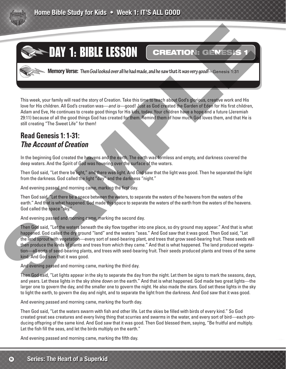

## **2 DAY 1: BIBLE LESSON** | CREATION: GENESIS

Memory Verse: **Then God looked over all he had made, and he saw that it was very good!**—Genesis 1:31

This week, your family will read the story of Creation. Take this time to teach about God's glorious, creative work and His love for His children. All God's creation was—*and is—*good! Just as God created the Garden of Eden for His first children, Adam and Eve, He continues to create good things for His kids, today. Your children have a hope and a future (Jeremiah 29:11) because of all the good things God has created for them. Remind them of how much God loves them, and that He is still creating "The Sweet Life" for them!

#### **Read Genesis 1: 1-31:** *The Account of Creation*

In the beginning God created the heavens and the earth. The earth was formless and empty, and darkness covered the deep waters. And the Spirit of God was hovering over the surface of the waters.

Then God said, "Let there be light," and there was light. And God saw that the light was good. Then he separated the light from the darkness. God called the light "day" and the darkness "night."

And evening passed and morning came, marking the first day.

Then God said, "Let there be a space between the waters, to separate the waters of the heavens from the waters of the earth." And that is what happened. God made this space to separate the waters of the earth from the waters of the heavens. God called the space "sky."

And evening passed and morning came, marking the second day.

Then God said, "Let the waters beneath the sky flow together into one place, so dry ground may appear." And that is what happened. God called the dry ground "land" and the waters "seas." And God saw that it was good. Then God said, "Let the land sprout with vegetation—every sort of seed-bearing plant, and trees that grow seed-bearing fruit. These seeds will then produce the kinds of plants and trees from which they came." And that is what happened. The land produced vegetation—all sorts of seed-bearing plants, and trees with seed-bearing fruit. Their seeds produced plants and trees of the same kind. And God saw that it was good. **SAMPLE SECOND CERTIFY CONTROL CONTROL CERTIFY CONTROL CERTIFY (SECONDS)**<br>This wook, your family will road the story of Crostion. Teks this line to the star filter to also provide engine of the star film of the star film o

And evening passed and morning came, marking the third day.

Then God said, "Let lights appear in the sky to separate the day from the night. Let them be signs to mark the seasons, days, and years. Let these lights in the sky shine down on the earth." And that is what happened. God made two great lights—the larger one to govern the day, and the smaller one to govern the night. He also made the stars. God set these lights in the sky to light the earth, to govern the day and night, and to separate the light from the darkness. And God saw that it was good.

And evening passed and morning came, marking the fourth day.

Then God said, "Let the waters swarm with fish and other life. Let the skies be filled with birds of every kind." So God created great sea creatures and every living thing that scurries and swarms in the water, and every sort of bird—each producing offspring of the same kind. And God saw that it was good. Then God blessed them, saying, "Be fruitful and multiply. Let the fish fill the seas, and let the birds multiply on the earth."

And evening passed and morning came, marking the fifth day.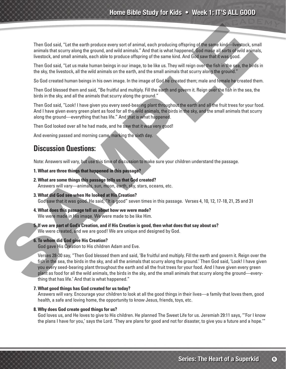Then God said, "Let the earth produce every sort of animal, each producing offspring of the same kind—livestock, small animals that scurry along the ground, and wild animals." And that is what happened. God made all sorts of wild animals, livestock, and small animals, each able to produce offspring of the same kind. And God saw that it was good.

Then God said, "Let us make human beings in our image, to be like us. They will reign over the fish in the sea, the birds in the sky, the livestock, all the wild animals on the earth, and the small animals that scurry along the ground."

So God created human beings in his own image. In the image of God he created them; male and female he created them.

Then God blessed them and said, "Be fruitful and multiply. Fill the earth and govern it. Reign over the fish in the sea, the birds in the sky, and all the animals that scurry along the ground."

Then God said, "Look! I have given you every seed-bearing plant throughout the earth and all the fruit trees for your food. And I have given every green plant as food for all the wild animals, the birds in the sky, and the small animals that scurry along the ground—everything that has life." And that is what happened.

Then God looked over all he had made, and he saw that it was very good!

And evening passed and morning came, marking the sixth day.

#### **Discussion Questions:**

Note: Answers will vary, but use this time of discussion to make sure your children understand the passage.

- **1. What are three things that happened in this passage?**
- **2. What are some things this passage tells us that God created?** Answers will vary—animals, sun, moon, earth, sky, stars, oceans, etc.
- **3. What did God see when He looked at His Creation?** God saw that it was good. He said, "It is good" seven times in this passage. Verses 4, 10, 12, 17-18, 21, 25 and 31
- **4. What does this passage tell us about how we were made?** We were made in His image. We were made to be like Him.
- **5. If we are part of God's Creation, and if His Creation is good, then what does that say about us?** We were created, and we are good! We are unique and designed by God.
- **6. To whom did God give His Creation?**

God gave His Creation to His children Adam and Eve.

Verses 28-30 say, "Then God blessed them and said, 'Be fruitful and multiply. Fill the earth and govern it. Reign over the fish in the sea, the birds in the sky, and all the animals that scurry along the ground.' Then God said, 'Look! I have given you every seed-bearing plant throughout the earth and all the fruit trees for your food. And I have given every green plant as food for all the wild animals, the birds in the sky, and the small animals that scurry along the ground—everything that has life.' And that is what happened." Then God said. "Let the earth produce every sort of a simula each producing of spring of the summation and the stress contains and the stress of the stress of the stress of the stress of the stress of the stress of the str

**7. What good things has God created for us today?**

Answers will vary. Encourage your children to look at all the good things in their lives—a family that loves them, good health, a safe and loving home, the opportunity to know Jesus, friends, toys, etc.

#### **8. Why does God create good things for us?**

God loves us, and He loves to give to His children. He planned The Sweet Life for us. Jeremiah 29:11 says, "'For I know the plans I have for you,' says the Lord. 'They are plans for good and not for disaster, to give you a future and a hope.'"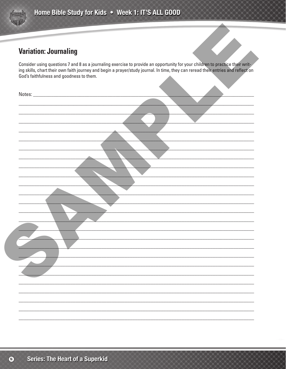

#### **Variation: Journaling**

Consider using questions 7 and 8 as a journaling exercise to provide an opportunity for your children to practice their writing skills, chart their own faith journey and begin a prayer/study journal. In time, they can reread their entries and reflect on God's faithfulness and goodness to them.

| Notes: $\_$ |  |
|-------------|--|
|             |  |
|             |  |
|             |  |
|             |  |
|             |  |
|             |  |
|             |  |
|             |  |
|             |  |
|             |  |
|             |  |
|             |  |
|             |  |
|             |  |
|             |  |
|             |  |
|             |  |
|             |  |
|             |  |
|             |  |
|             |  |
|             |  |
|             |  |
|             |  |
|             |  |
|             |  |
|             |  |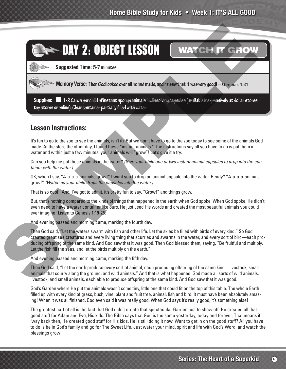# **BOAY 2: OBJECT LESSON WATCH IT GROW**

**Suggested Time: 5-7 minutes**

Memory Verse: **Then God looked over all he had made, and he saw that it was very good!** —Genesis 1:31

Supplies: <**1-2 Cards per child of instant sponge animals in dissolving capsules (available inexpensively at dollar stores, toy stores or online), Clear container partially filled with water**

#### **Lesson Instructions:**

It's fun to go to the zoo to see the animals, isn't it? But we don't have to go to the zoo today to see some of the animals God made. At the store the other day, I found these "instant animals." The instructions say all you have to do is put them in water and within just a few minutes, your animals will "grow"! Let's give it a try.

Can you help me put these animals in the water? *(Give your child one or two instant animal capsules to drop into the container with the water.)* 

OK, when I say, "A-a-a-a-animals, grow!" I want you to drop an animal capsule into the water. Ready? "A-a-a-a-animals, grow!" *(Watch as your child drops the capsules into the water.)*

That is so cool! And, I've got to admit, it's pretty fun to say, "Grow!" and things grow.

But, that's nothing compared to the kinds of things that happened in the earth when God spoke. When God spoke, He didn't even need to have a water container like ours. He just used His words and created the most beautiful animals you could ever imagine! Listen to Genesis 1:19-25:

And evening passed and morning came, marking the fourth day.

Then God said, "Let the waters swarm with fish and other life. Let the skies be filled with birds of every kind." So God created great sea creatures and every living thing that scurries and swarms in the water, and every sort of bird—each producing offspring of the same kind. And God saw that it was good. Then God blessed them, saying, "Be fruitful and multiply. Let the fish fill the seas, and let the birds multiply on the earth." **CONV 2: OBJECT LESSON** WATER CHAPTER TO NOW THE CHAPTER ON SURFACE SURFACE SURFACE SURFACE SURFACE SURFACE SURFACE SURFACE SURFACE SURFACE SURFACE SURFACE SURFACE SURFACE SURFACE SURFACE SURFACE SURFACE SURFACE SURFACE SU

And evening passed and morning came, marking the fifth day.

Then God said, "Let the earth produce every sort of animal, each producing offspring of the same kind—livestock, small animals that scurry along the ground, and wild animals." And that is what happened. God made all sorts of wild animals, livestock, and small animals, each able to produce offspring of the same kind. And God saw that it was good.

God's Garden where He put the animals wasn't some tiny, little one that could fit on the top of this table. The whole Earth filled up with every kind of grass, bush, vine, plant and fruit tree, animal, fish and bird. It must have been absolutely amazing! When it was all finished, God even said it was really good. When God says it's really good, it's something else!

The greatest part of all is the fact that God didn't create that spectacular Garden just to show off. He created all that good stuff for Adam and Eve, His kids. The Bible says that God is the same yesterday, today and forever. That means if 'way back then, He created good stuff for His kids, He is still doing it now. Want to get in on the good stuff? All you have to do is be in God's family and go for The Sweet Life. Just water your mind, spirit and life with God's Word, and watch the blessings grow!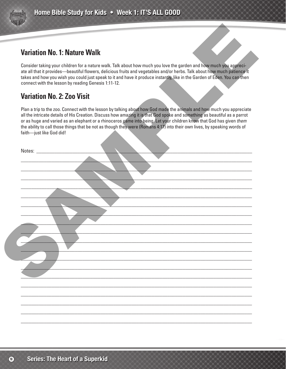

#### **Variation No. 1: Nature Walk**

#### **Variation No. 2: Zoo Visit**

| <b>Variation No. 1: Nature Walk</b>                                                                                                                                                                                                                                                                                                                                                                                                                                                                                                  |
|--------------------------------------------------------------------------------------------------------------------------------------------------------------------------------------------------------------------------------------------------------------------------------------------------------------------------------------------------------------------------------------------------------------------------------------------------------------------------------------------------------------------------------------|
|                                                                                                                                                                                                                                                                                                                                                                                                                                                                                                                                      |
| Consider taking your children for a nature walk. Talk about how much you love the garden and how much you appreci-<br>ate all that it provides—beautiful flowers, delicious fruits and vegetables and/or herbs. Talk about how much patience it<br>takes and how you wish you could just speak to it and have it produce instantly, like in the Garden of Eden. You can then<br>connect with the lesson by reading Genesis 1:11-12.                                                                                                  |
| <b>Variation No. 2: Zoo Visit</b>                                                                                                                                                                                                                                                                                                                                                                                                                                                                                                    |
| Plan a trip to the zoo. Connect with the lesson by talking about how God made the animals and how much you appreciate<br>all the intricate details of His Creation. Discuss how amazing it is that God spoke and something as beautiful as a parrot<br>or as huge and varied as an elephant or a rhinoceros came into being. Let your children know that God has given them<br>the ability to call those things that be not as though they were (Romans 4:17) into their own lives, by speaking words of<br>faith-just like God did! |
| Notes: and the state of the state of the state of the state of the state of the state of the state of the state of the state of the state of the state of the state of the state of the state of the state of the state of the                                                                                                                                                                                                                                                                                                       |
|                                                                                                                                                                                                                                                                                                                                                                                                                                                                                                                                      |
|                                                                                                                                                                                                                                                                                                                                                                                                                                                                                                                                      |
|                                                                                                                                                                                                                                                                                                                                                                                                                                                                                                                                      |
|                                                                                                                                                                                                                                                                                                                                                                                                                                                                                                                                      |
|                                                                                                                                                                                                                                                                                                                                                                                                                                                                                                                                      |
|                                                                                                                                                                                                                                                                                                                                                                                                                                                                                                                                      |
|                                                                                                                                                                                                                                                                                                                                                                                                                                                                                                                                      |
|                                                                                                                                                                                                                                                                                                                                                                                                                                                                                                                                      |
|                                                                                                                                                                                                                                                                                                                                                                                                                                                                                                                                      |
|                                                                                                                                                                                                                                                                                                                                                                                                                                                                                                                                      |
|                                                                                                                                                                                                                                                                                                                                                                                                                                                                                                                                      |
|                                                                                                                                                                                                                                                                                                                                                                                                                                                                                                                                      |
|                                                                                                                                                                                                                                                                                                                                                                                                                                                                                                                                      |
|                                                                                                                                                                                                                                                                                                                                                                                                                                                                                                                                      |
|                                                                                                                                                                                                                                                                                                                                                                                                                                                                                                                                      |
|                                                                                                                                                                                                                                                                                                                                                                                                                                                                                                                                      |
|                                                                                                                                                                                                                                                                                                                                                                                                                                                                                                                                      |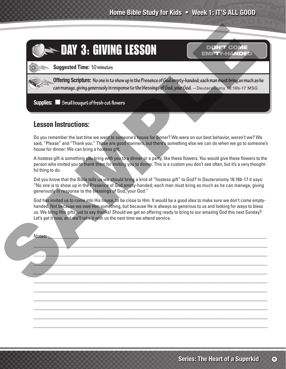# **DAY 3: GIVING LESSON EXECUTED BON'T COME DON'T COME**

#### **Lesson Instructions:**

| <b>DAY 3: GIVING LESSON</b>                                                                                                                                                                                                                                                                                                                                                                                                                                | <b>DON'T COME</b><br><b>EMPTY-HANDED</b> |
|------------------------------------------------------------------------------------------------------------------------------------------------------------------------------------------------------------------------------------------------------------------------------------------------------------------------------------------------------------------------------------------------------------------------------------------------------------|------------------------------------------|
| <b>Suggested Time: 10 minutes</b>                                                                                                                                                                                                                                                                                                                                                                                                                          |                                          |
| Offering Scripture: No one is to show up in the Presence of God empty-handed; each man must bring as much as he<br>can manage, giving generously in response to the blessings of God, your God. - Deuteronomy 16:16b-17 MSG                                                                                                                                                                                                                                |                                          |
| <b>Supplies:</b> Small bouquet of fresh-cut flowers                                                                                                                                                                                                                                                                                                                                                                                                        |                                          |
| <b>Lesson Instructions:</b>                                                                                                                                                                                                                                                                                                                                                                                                                                |                                          |
| Do you remember the last time we went to someone's house for dinner? We were on our best behavior, weren't we? We<br>said, "Please" and "Thank you." Those are good manners, but there's something else we can do when we go to someone's<br>house for dinner: We can bring a hostess gift.                                                                                                                                                                |                                          |
| A hostess gift is something you bring with you to a dinner or a party, like these flowers. You would give these flowers to the<br>person who invited you to thank them for inviting you to dinner. This is a custom you don't see often, but it's a very thought-<br>ful thing to do.                                                                                                                                                                      |                                          |
| Did you know that the Bible tells us we should bring a kind of "hostess gift" to God? In Deuteronomy 16:16b-17 it says:<br>"No one is to show up in the Presence of God empty-handed; each man must bring as much as he can manage, giving<br>generously in response to the blessings of God, your God."                                                                                                                                                   |                                          |
| God has invited us to come into His house, to be close to Him. It would be a good idea to make sure we don't come empty-<br>handed. Not because we owe Him something, but because He is always so generous to us and looking for ways to bless<br>us. We bring Him gifts just to say thanks! Should we get an offering ready to bring to our amazing God this next Sunday?<br>Let's get it now, and we'll take it with us the next time we attend service. |                                          |
| Notes:                                                                                                                                                                                                                                                                                                                                                                                                                                                     |                                          |
|                                                                                                                                                                                                                                                                                                                                                                                                                                                            |                                          |
|                                                                                                                                                                                                                                                                                                                                                                                                                                                            |                                          |
|                                                                                                                                                                                                                                                                                                                                                                                                                                                            |                                          |
|                                                                                                                                                                                                                                                                                                                                                                                                                                                            |                                          |
|                                                                                                                                                                                                                                                                                                                                                                                                                                                            |                                          |
|                                                                                                                                                                                                                                                                                                                                                                                                                                                            |                                          |
|                                                                                                                                                                                                                                                                                                                                                                                                                                                            |                                          |

\_\_\_\_\_\_\_\_\_\_\_\_\_\_\_\_\_\_\_\_\_\_\_\_\_\_\_\_\_\_\_\_\_\_\_\_\_\_\_\_\_\_\_\_\_\_\_\_\_\_\_\_\_\_\_\_\_\_\_\_\_\_\_\_\_\_\_\_\_\_\_\_\_\_\_\_\_\_\_\_\_\_\_\_\_\_\_\_\_\_\_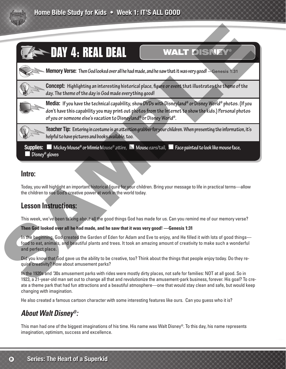



Memory Verse: **Then God looked over all he had made, and he saw that it was very good!** —Genesis 1:31

Concept: **Highlighting an interesting historical place, figure or event that illustrates the theme of the day. The theme of the day is God made everything good!**

Media: **If you have the technical capability, show DVDs with Disneyland® or Disney World® photos. (If you don't have this capability you may print out photos from the Internet to show the kids.) Personal photos of you or someone else's vacation to Disneyland® or Disney World®. SAMPLE CONTRACT CONTRACT CONTRACT CONTRACT CONTRACT CONTRACT CONTRACT CONTRACT CONTRACT CONTRACT CONTRACT CONTRACT CONTRACT CONTRACT CONTRACT CONTRACT CONTRACT CONTRACT CONTRACT CONTRACT CONTRACT CONTRACT CONTRACT CONTRAC** 

Teacher Tip: **Entering in costume is an attention grabber for your children. When presenting the information, it's helpful to have pictures and books available, too.** 

 Supplies: <**Mickey Mouse® or Minnie Mouse® attire,** <**Mouse ears/tail,** <**Face painted to look like mouse face,**  <**Disney® gloves**

#### **Intro:**

Today, you will highlight an important historical figure for your children. Bring your message to life in practical terms—allow the children to see God's creative power at work in the world today.

#### **Lesson Instructions:**

This week, we've been talking about all the good things God has made for us. Can you remind me of our memory verse?

#### **Then God looked over all he had made, and he saw that it was very good! —Genesis 1:31**

In the beginning, God created the Garden of Eden for Adam and Eve to enjoy, and He filled it with lots of good things food to eat, animals, and beautiful plants and trees. It took an amazing amount of creativity to make such a wonderful and perfect place.

Did you know that God gave us the ability to be creative, too? Think about the things that people enjoy today. Do they require creativity? How about amusement parks?

In the 1920s and '30s amusement parks with rides were mostly dirty places, not safe for families: NOT at all good. So in 1923, a 21-year-old man set out to change all that and revolutionize the amusement-park business, forever. His goal? To create a theme park that had fun attractions and a beautiful atmosphere—one that would stay clean and safe, but would keep changing with imagination.

He also created a famous cartoon character with some interesting features like ours. Can you guess who it is?

### *About Walt Disney®:*

This man had one of the biggest imaginations of his time. His name was Walt Disney®. To this day, his name represents imagination, optimism, success and excellence.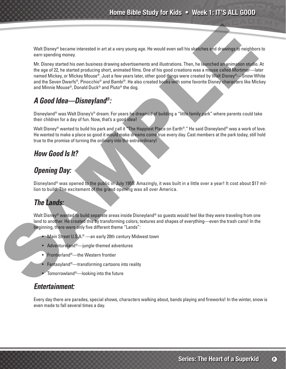Walt Disney® became interested in art at a very young age. He would even sell his sketches and drawings to neighbors to earn spending money.

Mr. Disney started his own business drawing advertisements and illustrations. Then, he launched an animation studio. At the age of 22, he started producing short, animated films. One of his good creations was a mouse called Mortimer—later named Mickey, or Mickey Mouse®. Just a few years later, other good things were created by Walt Disney®—Snow White and the Seven Dwarfs®, Pinocchio® and Bambi®. He also created books with some favorite Disney characters like Mickey and Minnie Mouse®, Donald Duck® and Pluto® the dog. Welt Disney" because interested in at at a very young age. He would even sell his stations and drawing at neighbors and properties that the stationary and the stations of the Disney station is the station of the station o

#### *A Good Idea—Disneyland®:*

Disneyland® was Walt Disney's® dream. For years he dreamed of building a "little family park" where parents could take their children for a day of fun. Now, that's a good idea!

Walt Disney® wanted to build his park and call it "The Happiest Place on Earth®." He said Disneyland® was a work of love. He wanted to make a place so good it would make dreams come true every day. Cast members at the park today, still hold true to the promise of turning the ordinary into the extraordinary!

#### *How Good Is It?*

#### *Opening Day:*

Disneyland® was opened to the public in July 1955. Amazingly, it was built in a little over a year! It cost about \$17 million to build. The excitement of the grand opening was all over America.

### *The Lands:*

Walt Disney® wanted to build separate areas inside Disneyland® so guests would feel like they were traveling from one land to another. He created this by transforming colors, textures and shapes of everything—even the trash cans! In the beginning, there were only five different theme "Lands":

- Main Street U.S.A.® —an early 20th century Midwest town
- Adventureland®—jungle-themed adventures
- Frontierland®—the Western frontier
- Fantasyland®—transforming cartoons into reality
- $\mathsf{T}$ omorrowland®—looking into the future

#### *Entertainment:*

Every day there are parades, special shows, characters walking about, bands playing and fireworks! In the winter, snow is even made to fall several times a day.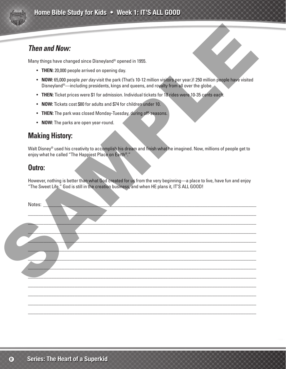

#### *Then and Now:*

Many things have changed since Disneyland® opened in 1955.

- • **THEN:** 20,000 people arrived on opening day.
- • **NOW:** 65,000 people *per day* visit the park (That's 10-12 million visitors per year.)! 250 million people have visited Disneyland<sup>®</sup>—including presidents, kings and queens, and royalty from all over the globe. Then and Now:<br>
Mary things have changed since Disneyland" opened in 1955.<br>
• THEN: 20,000 people serived on opening day.<br>
• Now ESUID per lactivity the part (That is UD-2 million width one year) 20 million people with the
	- • **THEN:** Ticket prices were \$1 for admission. Individual tickets for 18 rides were 10-35 cents each.
	- NOW: Tickets cost \$80 for adults and \$74 for children under 10.
	- • **THEN:** The park was closed Monday-Tuesday, during off-seasons.
	- • **NOW:** The parks are open year-round.

#### **Making History:**

Walt Disney® used his creativity to accomplish his dream and finish what he imagined. Now, millions of people get to enjoy what he called "The Happiest Place on Earth®."

#### **Outro:**

However, nothing is better than what God created for us from the very beginning—a place to live, have fun and enjoy "The Sweet Life." God is still in the creation business, and when HE plans it, IT'S ALL GOOD!

\_\_\_\_\_\_\_\_\_\_\_\_\_\_\_\_\_\_\_\_\_\_\_\_\_\_\_\_\_\_\_\_\_\_\_\_\_\_\_\_\_\_\_\_\_\_\_\_\_\_\_\_\_\_\_\_\_\_\_\_\_\_\_\_\_\_\_\_\_\_\_\_\_\_\_\_\_\_\_\_\_\_\_\_\_\_\_\_  $\frac{1}{2}$  ,  $\frac{1}{2}$  ,  $\frac{1}{2}$  ,  $\frac{1}{2}$  ,  $\frac{1}{2}$  ,  $\frac{1}{2}$  ,  $\frac{1}{2}$  ,  $\frac{1}{2}$  ,  $\frac{1}{2}$  ,  $\frac{1}{2}$  ,  $\frac{1}{2}$  ,  $\frac{1}{2}$  ,  $\frac{1}{2}$  ,  $\frac{1}{2}$  ,  $\frac{1}{2}$  ,  $\frac{1}{2}$  ,  $\frac{1}{2}$  ,  $\frac{1}{2}$  ,  $\frac{1$  $\mathcal{L} = \{ \mathcal{L} = \{ \mathcal{L} = \mathcal{L} \} \cup \{ \mathcal{L} = \{ \mathcal{L} = \mathcal{L} \} \cup \{ \mathcal{L} = \{ \mathcal{L} = \mathcal{L} = \mathcal{L} \} \cup \{ \mathcal{L} = \{ \mathcal{L} = \mathcal{L} = \mathcal{L} = \mathcal{L} = \mathcal{L} \} \cup \{ \mathcal{L} = \{ \mathcal{L} = \mathcal{L} = \mathcal{L} = \mathcal{L} = \mathcal{L} = \mathcal{L} \} \cup \{ \mathcal{L} = \{ \mathcal{L}$  $\mathcal{L}_\mathcal{L}$  , and the contribution of the contribution of the contribution of the contribution of the contribution of the contribution of the contribution of the contribution of the contribution of the contribution of  $\frac{1}{2}$  ,  $\frac{1}{2}$  ,  $\frac{1}{2}$  ,  $\frac{1}{2}$  ,  $\frac{1}{2}$  ,  $\frac{1}{2}$  ,  $\frac{1}{2}$  ,  $\frac{1}{2}$  ,  $\frac{1}{2}$  ,  $\frac{1}{2}$  ,  $\frac{1}{2}$  ,  $\frac{1}{2}$  ,  $\frac{1}{2}$  ,  $\frac{1}{2}$  ,  $\frac{1}{2}$  ,  $\frac{1}{2}$  ,  $\frac{1}{2}$  ,  $\frac{1}{2}$  ,  $\frac{1$ \_\_\_\_\_\_\_\_\_\_\_\_\_\_\_\_\_\_\_\_\_\_\_\_\_\_\_\_\_\_\_\_\_\_\_\_\_\_\_\_\_\_\_\_\_\_\_\_\_\_\_\_\_\_\_\_\_\_\_\_\_\_\_\_\_\_\_\_\_\_\_\_\_\_\_\_\_\_\_\_\_\_\_\_\_\_\_\_ \_\_\_\_\_\_\_\_\_\_\_\_\_\_\_\_\_\_\_\_\_\_\_\_\_\_\_\_\_\_\_\_\_\_\_\_\_\_\_\_\_\_\_\_\_\_\_\_\_\_\_\_\_\_\_\_\_\_\_\_\_\_\_\_\_\_\_\_\_\_\_\_\_\_\_\_\_\_\_\_\_\_\_\_\_\_\_\_  $\overline{\phantom{a}}$  ,  $\overline{\phantom{a}}$  ,  $\overline{\phantom{a}}$  ,  $\overline{\phantom{a}}$  ,  $\overline{\phantom{a}}$  ,  $\overline{\phantom{a}}$  ,  $\overline{\phantom{a}}$  ,  $\overline{\phantom{a}}$  ,  $\overline{\phantom{a}}$  ,  $\overline{\phantom{a}}$  ,  $\overline{\phantom{a}}$  ,  $\overline{\phantom{a}}$  ,  $\overline{\phantom{a}}$  ,  $\overline{\phantom{a}}$  ,  $\overline{\phantom{a}}$  ,  $\overline{\phantom{a}}$ \_\_\_\_\_\_\_\_\_\_\_\_\_\_\_\_\_\_\_\_\_\_\_\_\_\_\_\_\_\_\_\_\_\_\_\_\_\_\_\_\_\_\_\_\_\_\_\_\_\_\_\_\_\_\_\_\_\_\_\_\_\_\_\_\_\_\_\_\_\_\_\_\_\_\_\_\_\_\_\_\_\_\_\_\_\_\_\_ \_\_\_\_\_\_\_\_\_\_\_\_\_\_\_\_\_\_\_\_\_\_\_\_\_\_\_\_\_\_\_\_\_\_\_\_\_\_\_\_\_\_\_\_\_\_\_\_\_\_\_\_\_\_\_\_\_\_\_\_\_\_\_\_\_\_\_\_\_\_\_\_\_\_\_\_\_\_\_\_\_\_\_\_\_\_\_\_ \_\_\_\_\_\_\_\_\_\_\_\_\_\_\_\_\_\_\_\_\_\_\_\_\_\_\_\_\_\_\_\_\_\_\_\_\_\_\_\_\_\_\_\_\_\_\_\_\_\_\_\_\_\_\_\_\_\_\_\_\_\_\_\_\_\_\_\_\_\_\_\_\_\_\_\_\_\_\_\_\_\_\_\_\_\_\_\_ \_\_\_\_\_\_\_\_\_\_\_\_\_\_\_\_\_\_\_\_\_\_\_\_\_\_\_\_\_\_\_\_\_\_\_\_\_\_\_\_\_\_\_\_\_\_\_\_\_\_\_\_\_\_\_\_\_\_\_\_\_\_\_\_\_\_\_\_\_\_\_\_\_\_\_\_\_\_\_\_\_\_\_\_\_\_\_\_

Notes: \_\_\_\_\_\_\_\_\_\_\_\_\_\_\_\_\_\_\_\_\_\_\_\_\_\_\_\_\_\_\_\_\_\_\_\_\_\_\_\_\_\_\_\_\_\_\_\_\_\_\_\_\_\_\_\_\_\_\_\_\_\_\_\_\_\_\_\_\_\_\_\_\_\_\_\_\_\_\_\_\_\_\_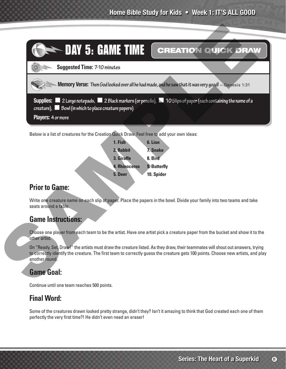| $\blacktriangleright$ day 5: game time                                                                                                                                                                                                                                               |                                                            |                                                   | <b>CREATION QUICK DRAW</b> |  |
|--------------------------------------------------------------------------------------------------------------------------------------------------------------------------------------------------------------------------------------------------------------------------------------|------------------------------------------------------------|---------------------------------------------------|----------------------------|--|
| <b>Suggested Time: 7-10 minutes</b>                                                                                                                                                                                                                                                  |                                                            |                                                   |                            |  |
| Memory Verse: Then God looked over all he had made, and he saw that it was very good! - Genesis 1:31                                                                                                                                                                                 |                                                            |                                                   |                            |  |
| <b>Supplies:</b> $\blacksquare$ 2 Large notepads, $\blacksquare$ 2 Black markers (or pencils), $\blacksquare$ 10 Slips of paper (each containing the name of a<br>creature), $\Box$ Bowl (in which to place creature papers)                                                         |                                                            |                                                   |                            |  |
| Players: 4 or more                                                                                                                                                                                                                                                                   |                                                            |                                                   |                            |  |
| <b>Prior to Game:</b>                                                                                                                                                                                                                                                                | 2. Rabbit<br>3. Giraffe<br><b>4. Rhinoceros</b><br>5. Deer | 7. Snake<br>8. Bird<br>9. Butterfly<br>10. Spider |                            |  |
| Write one creature name on each slip of paper. Place the papers in the bowl. Divide your family into two teams and take<br>seats around a table.                                                                                                                                     |                                                            |                                                   |                            |  |
| <b>Game Instructions:</b><br>Choose one player from each team to be the artist. Have one artist pick a creature paper from the bucket and show it to the<br>other artist.                                                                                                            |                                                            |                                                   |                            |  |
| On "Ready, Set, Draw!" the artists must draw the creature listed. As they draw, their teammates will shout out answers, trying<br>to correctly identify the creature. The first team to correctly guess the creature gets 100 points. Choose new artists, and play<br>another round. |                                                            |                                                   |                            |  |
| <b>Game Goal:</b>                                                                                                                                                                                                                                                                    |                                                            |                                                   |                            |  |
|                                                                                                                                                                                                                                                                                      |                                                            |                                                   |                            |  |

| 1. Fish              | 6. Lion      |
|----------------------|--------------|
| 2. Rabbit            | 7. Snake     |
| 3. Giraffe           | 8. Bird      |
| <b>4. Rhinoceros</b> | 9. Butterfly |
| 5. Deer              | 10. Spider   |

#### **Prior to Game:**

#### **Game Instructions:**

### **Game Goal:**

Continue until one team reaches 500 points.

#### **Final Word:**

Some of the creatures drawn looked pretty strange, didn't they? Isn't it amazing to think that God created each one of them perfectly the very first time?! He didn't even need an eraser!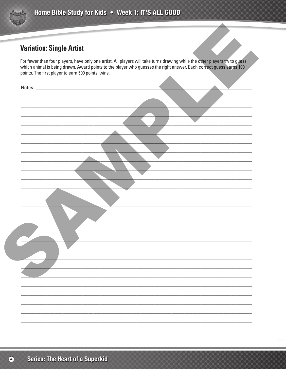

## **Variation: Single Artist**

For fewer than four players, have only one artist. All players will take turns drawing while the other players try to guess which animal is being drawn. Award points to the player who guesses the right answer. Each correct guess earns 100 points. The first player to earn 500 points, wins.

| Notes: _ |
|----------|
|          |
|          |
|          |
|          |
|          |
|          |
|          |
|          |
|          |
|          |
|          |
|          |
|          |
|          |
|          |
|          |
|          |
|          |
|          |
|          |
|          |
|          |
|          |
|          |
|          |
|          |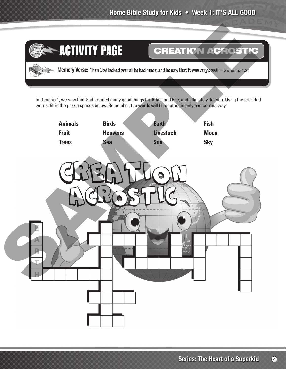

In Genesis 1, we saw that God created many good things for Adam and Eve, and ultimately, for you. Using the provided words, fill in the puzzle spaces below. Remember, the words will fit together in only one correct way.